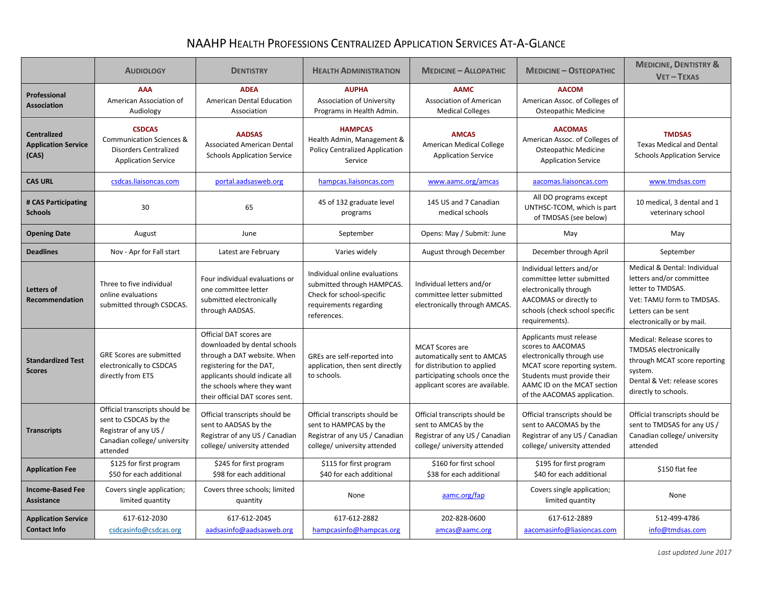## NAAHP HEALTH PROFESSIONS CENTRALIZED APPLICATION SERVICES AT-A-GLANCE

|                                                           | <b>AUDIOLOGY</b>                                                                                                             | <b>DENTISTRY</b>                                                                                                                                                                                                       | <b>HEALTH ADMINISTRATION</b>                                                                                                      | <b>MEDICINE - ALLOPATHIC</b>                                                                                                                              | <b>MEDICINE - OSTEOPATHIC</b>                                                                                                                                                                           | <b>MEDICINE, DENTISTRY &amp;</b><br>$VET - TEXAS$                                                                                                               |
|-----------------------------------------------------------|------------------------------------------------------------------------------------------------------------------------------|------------------------------------------------------------------------------------------------------------------------------------------------------------------------------------------------------------------------|-----------------------------------------------------------------------------------------------------------------------------------|-----------------------------------------------------------------------------------------------------------------------------------------------------------|---------------------------------------------------------------------------------------------------------------------------------------------------------------------------------------------------------|-----------------------------------------------------------------------------------------------------------------------------------------------------------------|
| <b>Professional</b><br><b>Association</b>                 | <b>AAA</b><br>American Association of<br>Audiology                                                                           | <b>ADEA</b><br>American Dental Education<br>Association                                                                                                                                                                | <b>AUPHA</b><br><b>Association of University</b><br>Programs in Health Admin.                                                     | <b>AAMC</b><br><b>Association of American</b><br><b>Medical Colleges</b>                                                                                  | <b>AACOM</b><br>American Assoc. of Colleges of<br>Osteopathic Medicine                                                                                                                                  |                                                                                                                                                                 |
| <b>Centralized</b><br><b>Application Service</b><br>(CAS) | <b>CSDCAS</b><br><b>Communication Sciences &amp;</b><br><b>Disorders Centralized</b><br><b>Application Service</b>           | <b>AADSAS</b><br><b>Associated American Dental</b><br><b>Schools Application Service</b>                                                                                                                               | <b>HAMPCAS</b><br>Health Admin, Management &<br><b>Policy Centralized Application</b><br>Service                                  | <b>AMCAS</b><br><b>American Medical College</b><br><b>Application Service</b>                                                                             | <b>AACOMAS</b><br>American Assoc. of Colleges of<br>Osteopathic Medicine<br><b>Application Service</b>                                                                                                  | <b>TMDSAS</b><br><b>Texas Medical and Dental</b><br><b>Schools Application Service</b>                                                                          |
| <b>CAS URL</b>                                            | csdcas.liaisoncas.com                                                                                                        | portal.aadsasweb.org                                                                                                                                                                                                   | hampcas.liaisoncas.com                                                                                                            | www.aamc.org/amcas                                                                                                                                        | aacomas.liaisoncas.com                                                                                                                                                                                  | www.tmdsas.com                                                                                                                                                  |
| # CAS Participating<br><b>Schools</b>                     | 30                                                                                                                           | 65                                                                                                                                                                                                                     | 45 of 132 graduate level<br>programs                                                                                              | 145 US and 7 Canadian<br>medical schools                                                                                                                  | All DO programs except<br>UNTHSC-TCOM, which is part<br>of TMDSAS (see below)                                                                                                                           | 10 medical, 3 dental and 1<br>veterinary school                                                                                                                 |
| <b>Opening Date</b>                                       | August                                                                                                                       | June                                                                                                                                                                                                                   | September                                                                                                                         | Opens: May / Submit: June                                                                                                                                 | May                                                                                                                                                                                                     | May                                                                                                                                                             |
| <b>Deadlines</b>                                          | Nov - Apr for Fall start                                                                                                     | Latest are February                                                                                                                                                                                                    | Varies widely                                                                                                                     | August through December                                                                                                                                   | December through April                                                                                                                                                                                  | September                                                                                                                                                       |
| <b>Letters of</b><br><b>Recommendation</b>                | Three to five individual<br>online evaluations<br>submitted through CSDCAS.                                                  | Four individual evaluations or<br>one committee letter<br>submitted electronically<br>through AADSAS.                                                                                                                  | Individual online evaluations<br>submitted through HAMPCAS.<br>Check for school-specific<br>requirements regarding<br>references. | Individual letters and/or<br>committee letter submitted<br>electronically through AMCAS.                                                                  | Individual letters and/or<br>committee letter submitted<br>electronically through<br>AACOMAS or directly to<br>schools (check school specific<br>requirements).                                         | Medical & Dental: Individual<br>letters and/or committee<br>letter to TMDSAS.<br>Vet: TAMU form to TMDSAS.<br>Letters can be sent<br>electronically or by mail. |
| <b>Standardized Test</b><br><b>Scores</b>                 | <b>GRE Scores are submitted</b><br>electronically to CSDCAS<br>directly from ETS                                             | Official DAT scores are<br>downloaded by dental schools<br>through a DAT website. When<br>registering for the DAT,<br>applicants should indicate all<br>the schools where they want<br>their official DAT scores sent. | GREs are self-reported into<br>application, then sent directly<br>to schools.                                                     | <b>MCAT Scores are</b><br>automatically sent to AMCAS<br>for distribution to applied<br>participating schools once the<br>applicant scores are available. | Applicants must release<br>scores to AACOMAS<br>electronically through use<br>MCAT score reporting system.<br>Students must provide their<br>AAMC ID on the MCAT section<br>of the AACOMAS application. | Medical: Release scores to<br><b>TMDSAS</b> electronically<br>through MCAT score reporting<br>system.<br>Dental & Vet: release scores<br>directly to schools.   |
| <b>Transcripts</b>                                        | Official transcripts should be<br>sent to CSDCAS by the<br>Registrar of any US /<br>Canadian college/ university<br>attended | Official transcripts should be<br>sent to AADSAS by the<br>Registrar of any US / Canadian<br>college/ university attended                                                                                              | Official transcripts should be<br>sent to HAMPCAS by the<br>Registrar of any US / Canadian<br>college/ university attended        | Official transcripts should be<br>sent to AMCAS by the<br>Registrar of any US / Canadian<br>college/ university attended                                  | Official transcripts should be<br>sent to AACOMAS by the<br>Registrar of any US / Canadian<br>college/ university attended                                                                              | Official transcripts should be<br>sent to TMDSAS for any US /<br>Canadian college/ university<br>attended                                                       |
| <b>Application Fee</b>                                    | \$125 for first program<br>\$50 for each additional                                                                          | \$245 for first program<br>\$98 for each additional                                                                                                                                                                    | \$115 for first program<br>\$40 for each additional                                                                               | \$160 for first school<br>\$38 for each additional                                                                                                        | \$195 for first program<br>\$40 for each additional                                                                                                                                                     | \$150 flat fee                                                                                                                                                  |
| <b>Income-Based Fee</b><br><b>Assistance</b>              | Covers single application;<br>limited quantity                                                                               | Covers three schools; limited<br>quantity                                                                                                                                                                              | None                                                                                                                              | aamc.org/fap                                                                                                                                              | Covers single application;<br>limited quantity                                                                                                                                                          | None                                                                                                                                                            |
| <b>Application Service</b><br><b>Contact Info</b>         | 617-612-2030<br>csdcasinfo@csdcas.org                                                                                        | 617-612-2045<br>aadsasinfo@aadsasweb.org                                                                                                                                                                               | 617-612-2882<br>hampcasinfo@hampcas.org                                                                                           | 202-828-0600<br>amcas@aamc.org                                                                                                                            | 617-612-2889<br>aacomasinfo@liasioncas.com                                                                                                                                                              | 512-499-4786<br>info@tmdsas.com                                                                                                                                 |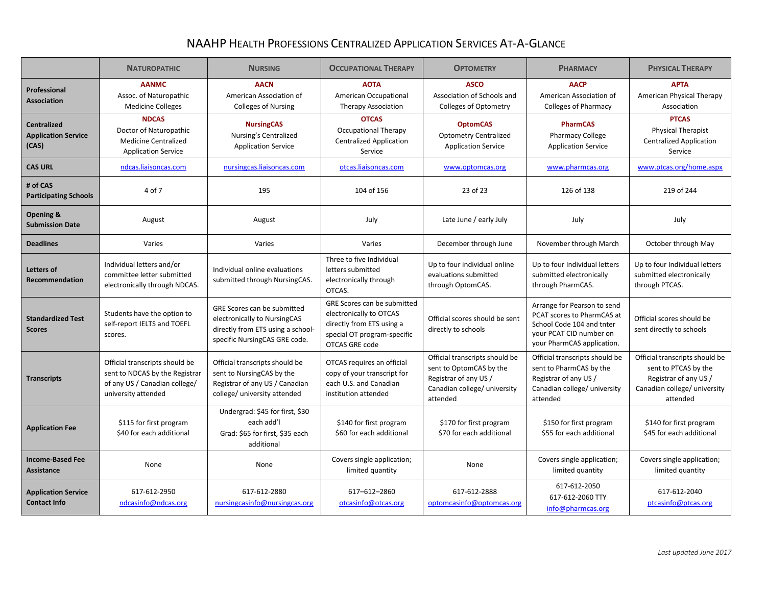## NAAHP HEALTH PROFESSIONS CENTRALIZED APPLICATION SERVICES AT-A-GLANCE

|                                                           | <b>NATUROPATHIC</b>                                                                                                      | <b>NURSING</b>                                                                                                                    | <b>OCCUPATIONAL THERAPY</b>                                                                                                                 | <b>OPTOMETRY</b>                                                                                                               | <b>PHARMACY</b>                                                                                                                                 | <b>PHYSICAL THERAPY</b>                                                                                                     |
|-----------------------------------------------------------|--------------------------------------------------------------------------------------------------------------------------|-----------------------------------------------------------------------------------------------------------------------------------|---------------------------------------------------------------------------------------------------------------------------------------------|--------------------------------------------------------------------------------------------------------------------------------|-------------------------------------------------------------------------------------------------------------------------------------------------|-----------------------------------------------------------------------------------------------------------------------------|
| Professional<br><b>Association</b>                        | <b>AANMC</b><br>Assoc. of Naturopathic<br><b>Medicine Colleges</b>                                                       | <b>AACN</b><br>American Association of<br><b>Colleges of Nursing</b>                                                              | <b>AOTA</b><br>American Occupational<br><b>Therapy Association</b>                                                                          | <b>ASCO</b><br>Association of Schools and<br><b>Colleges of Optometry</b>                                                      | <b>AACP</b><br>American Association of<br><b>Colleges of Pharmacy</b>                                                                           | <b>APTA</b><br>American Physical Therapy<br>Association                                                                     |
| <b>Centralized</b><br><b>Application Service</b><br>(CAS) | <b>NDCAS</b><br>Doctor of Naturopathic<br><b>Medicine Centralized</b><br><b>Application Service</b>                      | <b>NursingCAS</b><br>Nursing's Centralized<br><b>Application Service</b>                                                          | <b>OTCAS</b><br><b>Occupational Therapy</b><br><b>Centralized Application</b><br>Service                                                    | <b>OptomCAS</b><br><b>Optometry Centralized</b><br><b>Application Service</b>                                                  | <b>PharmCAS</b><br><b>Pharmacy College</b><br><b>Application Service</b>                                                                        | <b>PTCAS</b><br><b>Physical Therapist</b><br><b>Centralized Application</b><br>Service                                      |
| <b>CAS URL</b>                                            | ndcas.liaisoncas.com                                                                                                     | nursingcas.liaisoncas.com                                                                                                         | otcas.liaisoncas.com                                                                                                                        | www.optomcas.org                                                                                                               | www.pharmcas.org                                                                                                                                | www.ptcas.org/home.aspx                                                                                                     |
| # of CAS<br><b>Participating Schools</b>                  | 4 of 7                                                                                                                   | 195                                                                                                                               | 104 of 156                                                                                                                                  | 23 of 23                                                                                                                       | 126 of 138                                                                                                                                      | 219 of 244                                                                                                                  |
| Opening &<br><b>Submission Date</b>                       | August                                                                                                                   | August                                                                                                                            | July                                                                                                                                        | Late June / early July                                                                                                         | July                                                                                                                                            | July                                                                                                                        |
| <b>Deadlines</b>                                          | Varies                                                                                                                   | Varies                                                                                                                            | Varies                                                                                                                                      | December through June                                                                                                          | November through March                                                                                                                          | October through May                                                                                                         |
| Letters of<br>Recommendation                              | Individual letters and/or<br>committee letter submitted<br>electronically through NDCAS.                                 | Individual online evaluations<br>submitted through NursingCAS.                                                                    | Three to five Individual<br>letters submitted<br>electronically through<br>OTCAS.                                                           | Up to four individual online<br>evaluations submitted<br>through OptomCAS.                                                     | Up to four Individual letters<br>submitted electronically<br>through PharmCAS.                                                                  | Up to four Individual letters<br>submitted electronically<br>through PTCAS.                                                 |
| <b>Standardized Test</b><br><b>Scores</b>                 | Students have the option to<br>self-report IELTS and TOEFL<br>scores.                                                    | GRE Scores can be submitted<br>electronically to NursingCAS<br>directly from ETS using a school-<br>specific NursingCAS GRE code. | GRE Scores can be submitted<br>electronically to OTCAS<br>directly from ETS using a<br>special OT program-specific<br><b>OTCAS GRE code</b> | Official scores should be sent<br>directly to schools                                                                          | Arrange for Pearson to send<br>PCAT scores to PharmCAS at<br>School Code 104 and tnter<br>your PCAT CID number on<br>your PharmCAS application. | Official scores should be<br>sent directly to schools                                                                       |
| <b>Transcripts</b>                                        | Official transcripts should be<br>sent to NDCAS by the Registrar<br>of any US / Canadian college/<br>university attended | Official transcripts should be<br>sent to NursingCAS by the<br>Registrar of any US / Canadian<br>college/ university attended     | OTCAS requires an official<br>copy of your transcript for<br>each U.S. and Canadian<br>institution attended                                 | Official transcripts should be<br>sent to OptomCAS by the<br>Registrar of any US /<br>Canadian college/ university<br>attended | Official transcripts should be<br>sent to PharmCAS by the<br>Registrar of any US /<br>Canadian college/ university<br>attended                  | Official transcripts should be<br>sent to PTCAS by the<br>Registrar of any US /<br>Canadian college/ university<br>attended |
| <b>Application Fee</b>                                    | \$115 for first program<br>\$40 for each additional                                                                      | Undergrad: \$45 for first, \$30<br>each add'l<br>Grad: \$65 for first, \$35 each<br>additional                                    | \$140 for first program<br>\$60 for each additional                                                                                         | \$170 for first program<br>\$70 for each additional                                                                            | \$150 for first program<br>\$55 for each additional                                                                                             | \$140 for first program<br>\$45 for each additional                                                                         |
| <b>Income-Based Fee</b><br>Assistance                     | None                                                                                                                     | None                                                                                                                              | Covers single application;<br>limited quantity                                                                                              | None                                                                                                                           | Covers single application;<br>limited quantity                                                                                                  | Covers single application;<br>limited quantity                                                                              |
| <b>Application Service</b><br><b>Contact Info</b>         | 617-612-2950<br>ndcasinfo@ndcas.org                                                                                      | 617-612-2880<br>nursingcasinfo@nursingcas.org                                                                                     | 617-612-2860<br>otcasinfo@otcas.org                                                                                                         | 617-612-2888<br>optomcasinfo@optomcas.org                                                                                      | 617-612-2050<br>617-612-2060 TTY<br>info@pharmcas.org                                                                                           | 617-612-2040<br>ptcasinfo@ptcas.org                                                                                         |